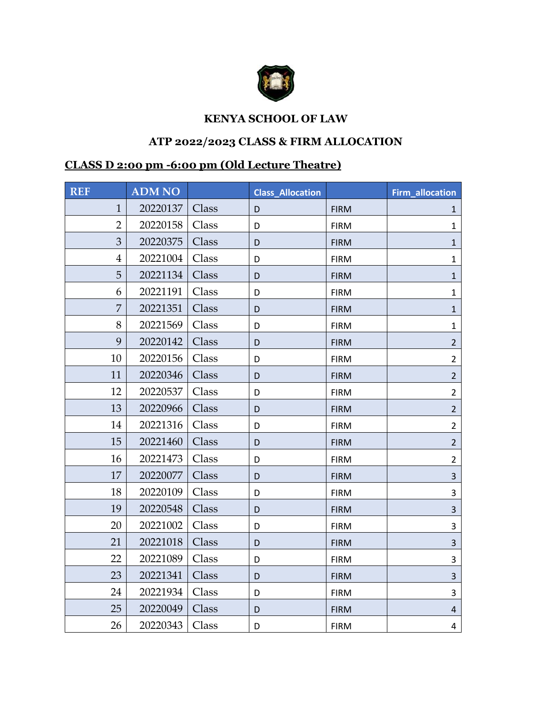

## **KENYA SCHOOL OF LAW**

## **ATP 2022/2023 CLASS & FIRM ALLOCATION**

## **CLASS D 2:00 pm -6:00 pm (Old Lecture Theatre)**

| <b>REF</b>     | <b>ADM NO</b> |       | <b>Class_Allocation</b> |             | <b>Firm_allocation</b> |
|----------------|---------------|-------|-------------------------|-------------|------------------------|
| $\mathbf{1}$   | 20220137      | Class | D                       | <b>FIRM</b> | 1                      |
| $\overline{2}$ | 20220158      | Class | D                       | <b>FIRM</b> | $\mathbf{1}$           |
| 3              | 20220375      | Class | D                       | <b>FIRM</b> | $\mathbf{1}$           |
| $\overline{4}$ | 20221004      | Class | D                       | <b>FIRM</b> | 1                      |
| 5              | 20221134      | Class | D                       | <b>FIRM</b> | $\mathbf{1}$           |
| 6              | 20221191      | Class | D                       | <b>FIRM</b> | $\mathbf{1}$           |
| 7              | 20221351      | Class | D                       | <b>FIRM</b> | $\mathbf{1}$           |
| 8              | 20221569      | Class | D                       | <b>FIRM</b> | $\mathbf{1}$           |
| 9              | 20220142      | Class | D                       | <b>FIRM</b> | $\overline{2}$         |
| 10             | 20220156      | Class | D                       | <b>FIRM</b> | $\overline{2}$         |
| 11             | 20220346      | Class | D                       | <b>FIRM</b> | $\overline{2}$         |
| 12             | 20220537      | Class | D                       | <b>FIRM</b> | $\overline{2}$         |
| 13             | 20220966      | Class | D                       | <b>FIRM</b> | $\overline{2}$         |
| 14             | 20221316      | Class | D                       | <b>FIRM</b> | $\overline{2}$         |
| 15             | 20221460      | Class | D                       | <b>FIRM</b> | $\overline{2}$         |
| 16             | 20221473      | Class | D                       | <b>FIRM</b> | $\overline{2}$         |
| 17             | 20220077      | Class | D                       | <b>FIRM</b> | 3                      |
| 18             | 20220109      | Class | D                       | <b>FIRM</b> | 3                      |
| 19             | 20220548      | Class | D                       | <b>FIRM</b> | $\overline{3}$         |
| 20             | 20221002      | Class | D                       | <b>FIRM</b> | 3                      |
| 21             | 20221018      | Class | D                       | <b>FIRM</b> | 3                      |
| 22             | 20221089      | Class | D                       | <b>FIRM</b> | 3                      |
| 23             | 20221341      | Class | D                       | <b>FIRM</b> | 3                      |
| 24             | 20221934      | Class | D                       | <b>FIRM</b> | 3                      |
| 25             | 20220049      | Class | D                       | <b>FIRM</b> | $\overline{4}$         |
| 26             | 20220343      | Class | D                       | <b>FIRM</b> | 4                      |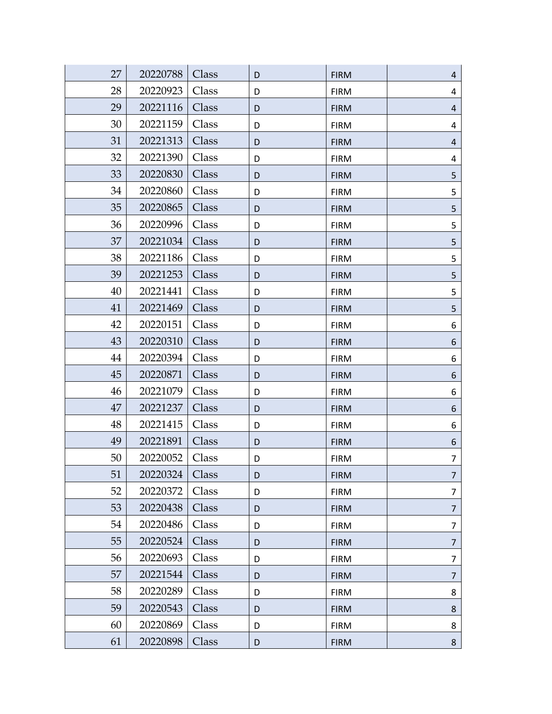| 27 | 20220788 | Class | D | <b>FIRM</b> | $\overline{4}$ |
|----|----------|-------|---|-------------|----------------|
| 28 | 20220923 | Class | D | <b>FIRM</b> | 4              |
| 29 | 20221116 | Class | D | <b>FIRM</b> | $\overline{4}$ |
| 30 | 20221159 | Class | D | <b>FIRM</b> | 4              |
| 31 | 20221313 | Class | D | <b>FIRM</b> | $\overline{4}$ |
| 32 | 20221390 | Class | D | <b>FIRM</b> | 4              |
| 33 | 20220830 | Class | D | <b>FIRM</b> | 5              |
| 34 | 20220860 | Class | D | <b>FIRM</b> | 5              |
| 35 | 20220865 | Class | D | <b>FIRM</b> | 5              |
| 36 | 20220996 | Class | D | <b>FIRM</b> | 5              |
| 37 | 20221034 | Class | D | <b>FIRM</b> | 5              |
| 38 | 20221186 | Class | D | <b>FIRM</b> | 5              |
| 39 | 20221253 | Class | D | <b>FIRM</b> | 5              |
| 40 | 20221441 | Class | D | <b>FIRM</b> | 5              |
| 41 | 20221469 | Class | D | <b>FIRM</b> | 5              |
| 42 | 20220151 | Class | D | <b>FIRM</b> | 6              |
| 43 | 20220310 | Class | D | <b>FIRM</b> | 6              |
| 44 | 20220394 | Class | D | <b>FIRM</b> | 6              |
| 45 | 20220871 | Class | D | <b>FIRM</b> | 6              |
| 46 | 20221079 | Class | D | <b>FIRM</b> | 6              |
| 47 | 20221237 | Class | D | <b>FIRM</b> | 6              |
| 48 | 20221415 | Class | D | <b>FIRM</b> | 6              |
| 49 | 20221891 | Class | D | <b>FIRM</b> | 6              |
| 50 | 20220052 | Class | D | <b>FIRM</b> | 7              |
| 51 | 20220324 | Class | D | <b>FIRM</b> | $\overline{7}$ |
| 52 | 20220372 | Class | D | <b>FIRM</b> | $\overline{7}$ |
| 53 | 20220438 | Class | D | <b>FIRM</b> | 7              |
| 54 | 20220486 | Class | D | <b>FIRM</b> | 7              |
| 55 | 20220524 | Class | D | <b>FIRM</b> | 7              |
| 56 | 20220693 | Class | D | <b>FIRM</b> | 7              |
| 57 | 20221544 | Class | D | <b>FIRM</b> | $\overline{7}$ |
| 58 | 20220289 | Class | D | <b>FIRM</b> | 8              |
| 59 | 20220543 | Class | D | <b>FIRM</b> | 8              |
| 60 | 20220869 | Class | D | <b>FIRM</b> | 8              |
| 61 | 20220898 | Class | D | <b>FIRM</b> | 8              |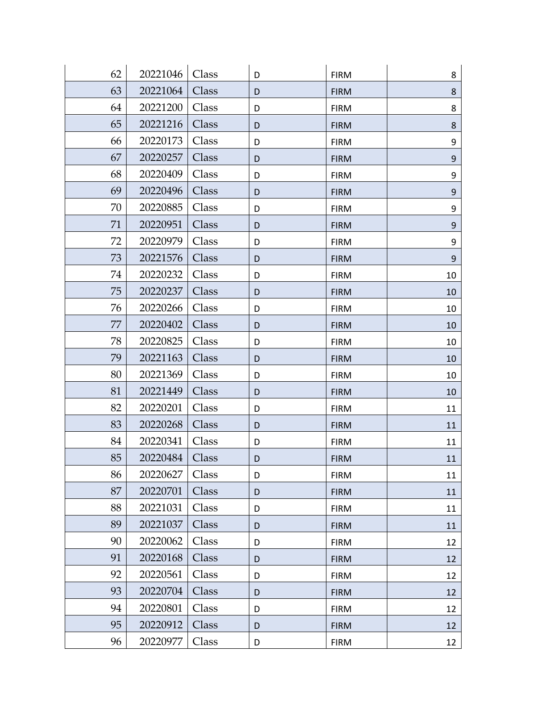| 62 | 20221046 | Class | D | <b>FIRM</b> | 8                |
|----|----------|-------|---|-------------|------------------|
| 63 | 20221064 | Class | D | <b>FIRM</b> | 8                |
| 64 | 20221200 | Class | D | <b>FIRM</b> | 8                |
| 65 | 20221216 | Class | D | <b>FIRM</b> | 8                |
| 66 | 20220173 | Class | D | <b>FIRM</b> | 9                |
| 67 | 20220257 | Class | D | <b>FIRM</b> | 9                |
| 68 | 20220409 | Class | D | <b>FIRM</b> | 9                |
| 69 | 20220496 | Class | D | <b>FIRM</b> | $\boldsymbol{9}$ |
| 70 | 20220885 | Class | D | <b>FIRM</b> | 9                |
| 71 | 20220951 | Class | D | <b>FIRM</b> | 9                |
| 72 | 20220979 | Class | D | <b>FIRM</b> | 9                |
| 73 | 20221576 | Class | D | <b>FIRM</b> | $\boldsymbol{9}$ |
| 74 | 20220232 | Class | D | <b>FIRM</b> | 10               |
| 75 | 20220237 | Class | D | <b>FIRM</b> | 10               |
| 76 | 20220266 | Class | D | <b>FIRM</b> | 10               |
| 77 | 20220402 | Class | D | <b>FIRM</b> | 10               |
| 78 | 20220825 | Class | D | <b>FIRM</b> | 10               |
| 79 | 20221163 | Class | D | <b>FIRM</b> | 10               |
| 80 | 20221369 | Class | D | <b>FIRM</b> | 10               |
| 81 | 20221449 | Class | D | <b>FIRM</b> | 10               |
| 82 | 20220201 | Class | D | <b>FIRM</b> | 11               |
| 83 | 20220268 | Class | D | <b>FIRM</b> | 11               |
| 84 | 20220341 | Class | D | <b>FIRM</b> | 11               |
| 85 | 20220484 | Class | D | <b>FIRM</b> | 11               |
| 86 | 20220627 | Class | D | <b>FIRM</b> | 11               |
| 87 | 20220701 | Class | D | <b>FIRM</b> | 11               |
| 88 | 20221031 | Class | D | <b>FIRM</b> | 11               |
| 89 | 20221037 | Class | D | <b>FIRM</b> | 11               |
| 90 | 20220062 | Class | D | <b>FIRM</b> | 12               |
| 91 | 20220168 | Class | D | <b>FIRM</b> | 12               |
| 92 | 20220561 | Class | D | <b>FIRM</b> | 12               |
| 93 | 20220704 | Class | D | <b>FIRM</b> | 12               |
| 94 | 20220801 | Class | D | <b>FIRM</b> | 12               |
| 95 | 20220912 | Class | D | <b>FIRM</b> | 12               |
| 96 | 20220977 | Class | D | <b>FIRM</b> | 12               |